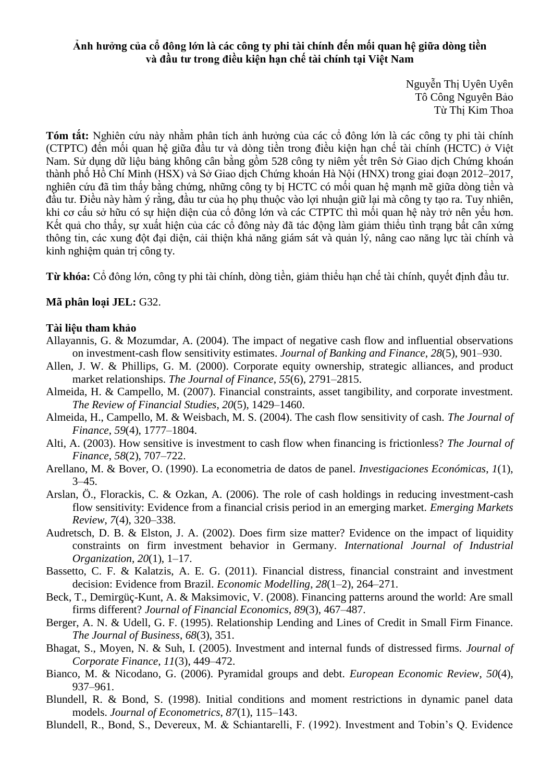## **Ảnh hưởng của cổ đông lớn là các công ty phi tài chính đến mối quan hệ giữa dòng tiền và đầu tư trong điều kiện hạn chế tài chính tại Việt Nam**

Nguyễn Thị Uyên Uyên Tô Công Nguyên Bảo Từ Thị Kim Thoa

**Tóm tắt:** Nghiên cứu này nhằm phân tích ảnh hưởng của các cổ đông lớn là các công ty phi tài chính (CTPTC) đến mối quan hệ giữa đầu tư và dòng tiền trong điều kiện hạn chế tài chính (HCTC) ở Việt Nam. Sử dụng dữ liệu bảng không cân bằng gồm 528 công ty niêm yết trên Sở Giao dịch Chứng khoán thành phố Hồ Chí Minh (HSX) và Sở Giao dịch Chứng khoán Hà Nội (HNX) trong giai đoạn 2012–2017, nghiên cứu đã tìm thấy bằng chứng, những công ty bị HCTC có mối quan hệ mạnh mẽ giữa dòng tiền và đầu tư. Điều này hàm ý rằng, đầu tư của họ phụ thuộc vào lợi nhuận giữ lại mà công ty tạo ra. Tuy nhiên, khi ơ ấu sở hữu có sự hiện diện của cổ đông lớn và các CTPTC thì mối quan hệ này trở nên yếu hơn. Kết quả cho thấy, sự xuất hiện của các cổ đông này đã tác động làm giảm thiểu tình trạng bất cân xứng thông tin, các xung đột đại diện, cải thiện khả năng giám sát và quản lý, nâng cao năng lực tài chính và kinh nghiệm quản trị công ty.

**Từ khóa:** Cổ đông lớn, công ty phi tài chính, dòng tiền, giảm thiểu hạn chế tài chính, quyết định đầu tư.

## **Mã phân loại JEL:** G32.

## **Tài liệu tham khảo**

- Allayannis, G. & Mozumdar, A. (2004). The impact of negative cash flow and influential observations on investment-cash flow sensitivity estimates. *Journal of Banking and Finance*, *28*(5), 901–930.
- Allen, J. W. & Phillips, G. M. (2000). Corporate equity ownership, strategic alliances, and product market relationships. *The Journal of Finance*, *55*(6), 2791–2815.
- Almeida, H. & Campello, M. (2007). Financial constraints, asset tangibility, and corporate investment. *The Review of Financial Studies*, *20*(5), 1429–1460.
- Almeida, H., Campello, M. & Weisbach, M. S. (2004). The cash flow sensitivity of cash. *The Journal of Finance*, *59*(4), 1777–1804.
- Alti, A. (2003). How sensitive is investment to cash flow when financing is frictionless? *The Journal of Finance*, *58*(2), 707–722.
- Arellano, M. & Bover, O. (1990). La econometria de datos de panel. *Investigaciones Económicas*, *1*(1),  $3 - 45.$
- Arslan, Ö., Florackis, C. & Ozkan, A. (2006). The role of cash holdings in reducing investment-cash flow sensitivity: Evidence from a financial crisis period in an emerging market. *Emerging Markets Review*, *7*(4), 320–338.
- Audretsch, D. B. & Elston, J. A. (2002). Does firm size matter? Evidence on the impact of liquidity constraints on firm investment behavior in Germany. *International Journal of Industrial Organization*, *20*(1), 1–17.
- Bassetto, C. F. & Kalatzis, A. E. G. (2011). Financial distress, financial constraint and investment decision: Evidence from Brazil. *Economic Modelling*, *28*(1–2), 264–271.
- Beck, T., Demirgüç-Kunt, A. & Maksimovic, V. (2008). Financing patterns around the world: Are small firms different? *Journal of Financial Economics*, *89*(3), 467–487.
- Berger, A. N. & Udell, G. F. (1995). Relationship Lending and Lines of Credit in Small Firm Finance. *The Journal of Business*, *68*(3), 351.
- Bhagat, S., Moyen, N. & Suh, I. (2005). Investment and internal funds of distressed firms. *Journal of Corporate Finance*, *11*(3), 449–472.
- Bianco, M. & Nicodano, G. (2006). Pyramidal groups and debt. *European Economic Review*, *50*(4), 937–961.
- Blundell, R. & Bond, S. (1998). Initial conditions and moment restrictions in dynamic panel data models. *Journal of Econometrics*, *87*(1), 115–143.
- Blundell, R., Bond, S., Devereux, M. & Schiantarelli, F. (1992). Investment and Tobin's Q. Evidence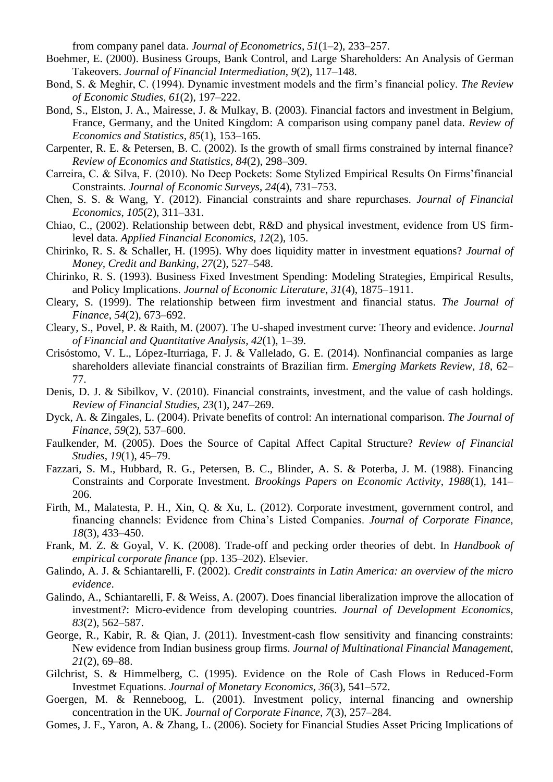from company panel data. *Journal of Econometrics*, *51*(1–2), 233–257.

- Boehmer, E. (2000). Business Groups, Bank Control, and Large Shareholders: An Analysis of German Takeovers. *Journal of Financial Intermediation*, *9*(2), 117–148.
- Bond, S. & Meghir, C. (1994). Dynamic investment models and the firm's financial policy. The Review *of Economic Studies*, *61*(2), 197–222.
- Bond, S., Elston, J. A., Mairesse, J. & Mulkay, B. (2003). Financial factors and investment in Belgium, France, Germany, and the United Kingdom: A comparison using company panel data. *Review of Economics and Statistics*, *85*(1), 153–165.
- Carpenter, R. E. & Petersen, B. C. (2002). Is the growth of small firms constrained by internal finance? *Review of Economics and Statistics*, *84*(2), 298–309.
- Carreira, C. & Silva, F. (2010). No Deep Pockets: Some Stylized Empirical Results On Firms' financial Constraints. *Journal of Economic Surveys*, *24*(4), 731–753.
- Chen, S. S. & Wang, Y. (2012). Financial constraints and share repurchases. *Journal of Financial Economics*, *105*(2), 311–331.
- Chiao, C., (2002). Relationship between debt, R&D and physical investment, evidence from US firmlevel data. *Applied Financial Economics*, *12*(2), 105.
- Chirinko, R. S. & Schaller, H. (1995). Why does liquidity matter in investment equations? *Journal of Money, Credit and Banking*, *27*(2), 527–548.
- Chirinko, R. S. (1993). Business Fixed Investment Spending: Modeling Strategies, Empirical Results, and Policy Implications. *Journal of Economic Literature*, *31*(4), 1875–1911.
- Cleary, S. (1999). The relationship between firm investment and financial status. *The Journal of Finance*, *54*(2), 673–692.
- Cleary, S., Povel, P. & Raith, M. (2007). The U-shaped investment curve: Theory and evidence. *Journal of Financial and Quantitative Analysis, 42*(1), 1–39.
- Crisóstomo, V. L., López-Iturriaga, F. J. & Vallelado, G. E. (2014). Nonfinancial companies as large shareholders alleviate financial constraints of Brazilian firm. *Emerging Markets Review*, *18*, 62– 77.
- Denis, D. J. & Sibilkov, V. (2010). Financial constraints, investment, and the value of cash holdings. *Review of Financial Studies, 23*(1), 247–269.
- Dyck, A. & Zingales, L. (2004). Private benefits of control: An international comparison. *The Journal of Finance*, *59*(2), 537–600.
- Faulkender, M. (2005). Does the Source of Capital Affect Capital Structure? *Review of Financial Studies*, *19*(1), 45–79.
- Fazzari, S. M., Hubbard, R. G., Petersen, B. C., Blinder, A. S. & Poterba, J. M. (1988). Financing Constraints and Corporate Investment. *Brookings Papers on Economic Activity*, *1988*(1), 141– 206.
- Firth, M., Malatesta, P. H., Xin, Q. & Xu, L. (2012). Corporate investment, government control, and financing channels: Evidence from China's Listed Companies. *Journal of Corporate Finance*, *18*(3), 433–450.
- Frank, M. Z. & Goyal, V. K. (2008). Trade-off and pecking order theories of debt. In *Handbook of empirical corporate finance* (pp. 135–202). Elsevier.
- Galindo, A. J. & Schiantarelli, F. (2002). *Credit constraints in Latin America: an overview of the micro evidence*.
- Galindo, A., Schiantarelli, F. & Weiss, A. (2007). Does financial liberalization improve the allocation of investment?: Micro-evidence from developing countries. *Journal of Development Economics*, *83*(2), 562–587.
- George, R., Kabir, R. & Qian, J. (2011). Investment-cash flow sensitivity and financing constraints: New evidence from Indian business group firms. *Journal of Multinational Financial Management*, *21*(2), 69–88.
- Gilchrist, S. & Himmelberg, C. (1995). Evidence on the Role of Cash Flows in Reduced-Form Investmet Equations. *Journal of Monetary Economics, 36*(3), 541–572.
- Goergen, M. & Renneboog, L. (2001). Investment policy, internal financing and ownership concentration in the UK. *Journal of Corporate Finance*, *7*(3), 257–284.
- Gomes, J. F., Yaron, A. & Zhang, L. (2006). Society for Financial Studies Asset Pricing Implications of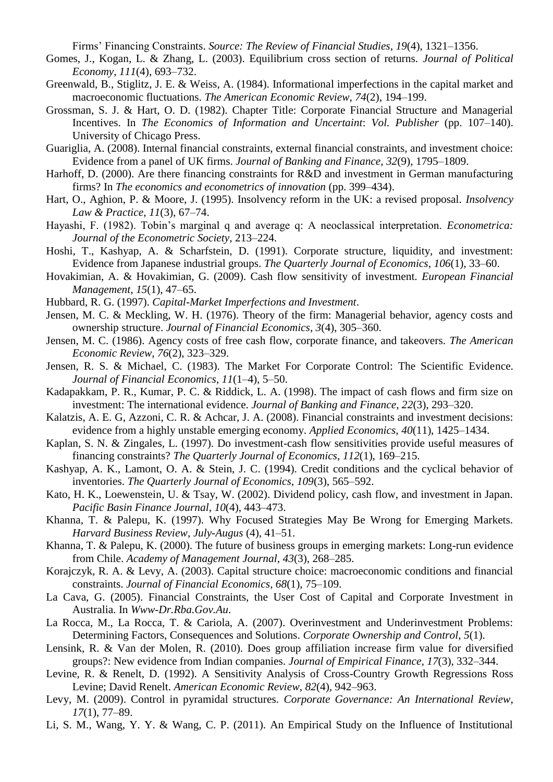Firms' Financing Constraints. *Source: The Review of Financial Studies*, 19(4), 1321–1356.

- Gomes, J., Kogan, L. & Zhang, L. (2003). Equilibrium cross section of returns. *Journal of Political Economy*, *111*(4), 693–732.
- Greenwald, B., Stiglitz, J. E. & Weiss, A. (1984). Informational imperfections in the capital market and macroeconomic fluctuations. *The American Economic Review*, *74*(2), 194–199.
- Grossman, S. J. & Hart, O. D. (1982). Chapter Title: Corporate Financial Structure and Managerial Incentives. In *The Economics of Information and Uncertaint*: *Vol. Publisher* (pp. 107–140). University of Chicago Press.
- Guariglia, A. (2008). Internal financial constraints, external financial constraints, and investment choice: Evidence from a panel of UK firms. *Journal of Banking and Finance*, *32*(9), 1795–1809.
- Harhoff, D. (2000). Are there financing constraints for R&D and investment in German manufacturing firms? In *The economics and econometrics of innovation* (pp. 399–434).
- Hart, O., Aghion, P. & Moore, J. (1995). Insolvency reform in the UK: a revised proposal. *Insolvency Law & Practice*, *11*(3), 67–74.
- Hayashi, F. (1982). Tobin's marginal q and average q: A neoclassical interpretation. *Econometrica*: *Journal of the Econometric Society*, 213–224.
- Hoshi, T., Kashyap, A. & Scharfstein, D. (1991). Corporate structure, liquidity, and investment: Evidence from Japanese industrial groups. *The Quarterly Journal of Economics*, *106*(1), 33–60.
- Hovakimian, A. & Hovakimian, G. (2009). Cash flow sensitivity of investment. *European Financial Management*, *15*(1), 47–65.
- Hubbard, R. G. (1997). *Capital-Market Imperfections and Investment*.
- Jensen, M. C. & Meckling, W. H. (1976). Theory of the firm: Managerial behavior, agency costs and ownership structure. *Journal of Financial Economics*, *3*(4), 305–360.
- Jensen, M. C. (1986). Agency costs of free cash flow, corporate finance, and takeovers. *The American Economic Review*, *76*(2), 323–329.
- Jensen, R. S. & Michael, C. (1983). The Market For Corporate Control: The Scientific Evidence. *Journal of Financial Economics*, *11*(1–4), 5–50.
- Kadapakkam, P. R., Kumar, P. C. & Riddick, L. A. (1998). The impact of cash flows and firm size on investment: The international evidence. *Journal of Banking and Finance*, *22*(3), 293–320.
- Kalatzis, A. E. G, Azzoni, C. R. & Achcar, J. A. (2008). Financial constraints and investment decisions: evidence from a highly unstable emerging economy. *Applied Economics*, *40*(11), 1425–1434.
- Kaplan, S. N. & Zingales, L. (1997). Do investment-cash flow sensitivities provide useful measures of financing constraints? *The Quarterly Journal of Economics*, *112*(1), 169–215.
- Kashyap, A. K., Lamont, O. A. & Stein, J. C. (1994). Credit conditions and the cyclical behavior of inventories. *The Quarterly Journal of Economics, 109*(3), 565–592.
- Kato, H. K., Loewenstein, U. & Tsay, W. (2002). Dividend policy, cash flow, and investment in Japan. *Pacific Basin Finance Journal*, *10*(4), 443–473.
- Khanna, T. & Palepu, K. (1997). Why Focused Strategies May Be Wrong for Emerging Markets. *Harvard Business Review*, *July*-*Augus* (4), 41–51.
- Khanna, T. & Palepu, K. (2000). The future of business groups in emerging markets: Long-run evidence from Chile. *Academy of Management Journal*, *43*(3), 268–285.
- Korajczyk, R. A. & Levy, A. (2003). Capital structure choice: macroeconomic conditions and financial constraints. *Journal of Financial Economics*, *68*(1), 75–109.
- La Cava, G. (2005). Financial Constraints, the User Cost of Capital and Corporate Investment in Australia. In *Www-Dr.Rba.Gov.Au*.
- La Rocca, M., La Rocca, T. & Cariola, A. (2007). Overinvestment and Underinvestment Problems: Determining Factors, Consequences and Solutions. *Corporate Ownership and Control*, *5*(1).
- Lensink, R. & Van der Molen, R. (2010). Does group affiliation increase firm value for diversified groups?: New evidence from Indian companies. *Journal of Empirical Finance*, *17*(3), 332–344.
- Levine, R. & Renelt, D. (1992). A Sensitivity Analysis of Cross-Country Growth Regressions Ross Levine; David Renelt. *American Economic Review*, *82*(4), 942–963.
- Levy, M. (2009). Control in pyramidal structures. *Corporate Governance: An International Review*, *17*(1), 77–89.
- Li, S. M., Wang, Y. Y. & Wang, C. P. (2011). An Empirical Study on the Influence of Institutional